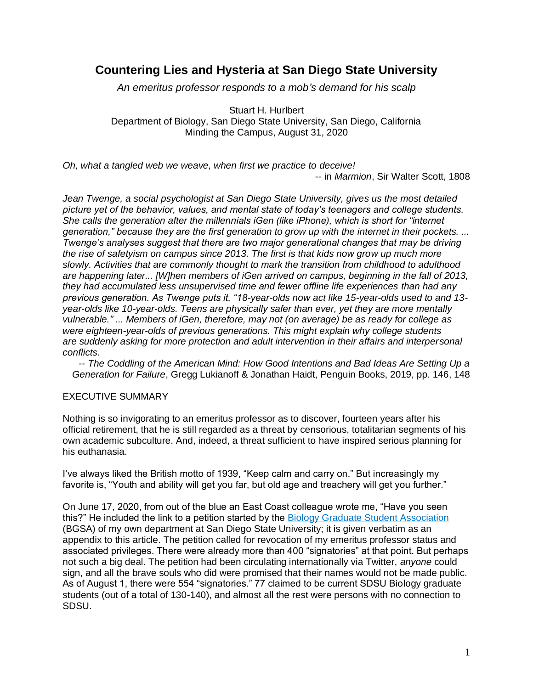## **Countering Lies and Hysteria at San Diego State University**

*An emeritus professor responds to a mob's demand for his scalp*

Stuart H. Hurlbert Department of Biology, San Diego State University, San Diego, California Minding the Campus, August 31, 2020

*Oh, what a tangled web we weave, when first we practice to deceive!*  -- in *Marmion*, Sir Walter Scott, 1808

*Jean Twenge, a social psychologist at San Diego State University, gives us the most detailed picture yet of the behavior, values, and mental state of today's teenagers and college students. She calls the generation after the millennials iGen (like iPhone), which is short for "internet generation," because they are the first generation to grow up with the internet in their pockets. ... Twenge's analyses suggest that there are two major generational changes that may be driving the rise of safetyism on campus since 2013. The first is that kids now grow up much more slowly. Activities that are commonly thought to mark the transition from childhood to adulthood are happening later... [W]hen members of iGen arrived on campus, beginning in the fall of 2013, they had accumulated less unsupervised time and fewer offline life experiences than had any previous generation. As Twenge puts it, "18-year-olds now act like 15-year-olds used to and 13 year-olds like 10-year-olds. Teens are physically safer than ever, yet they are more mentally vulnerable." ... Members of iGen, therefore, may not (on average) be as ready for college as were eighteen-year-olds of previous generations. This might explain why college students are suddenly asking for more protection and adult intervention in their affairs and interpersonal conflicts.*

-- *The Coddling of the American Mind: How Good Intentions and Bad Ideas Are Setting Up a Generation for Failure*, Gregg Lukianoff & Jonathan Haidt, Penguin Books, 2019, pp. 146, 148

## EXECUTIVE SUMMARY

Nothing is so invigorating to an emeritus professor as to discover, fourteen years after his official retirement, that he is still regarded as a threat by censorious, totalitarian segments of his own academic subculture. And, indeed, a threat sufficient to have inspired serious planning for his euthanasia.

I've always liked the British motto of 1939, "Keep calm and carry on." But increasingly my favorite is, "Youth and ability will get you far, but old age and treachery will get you further."

On June 17, 2020, from out of the blue an East Coast colleague wrote me, "Have you seen this?" He included the link to a petition started by the [Biology Graduate Student Association](https://sdsubgsa.weebly.com/) (BGSA) of my own department at San Diego State University; it is given verbatim as an appendix to this article. The petition called for revocation of my emeritus professor status and associated privileges. There were already more than 400 "signatories" at that point. But perhaps not such a big deal. The petition had been circulating internationally via Twitter, *anyone* could sign, and all the brave souls who did were promised that their names would not be made public. As of August 1, there were 554 "signatories." 77 claimed to be current SDSU Biology graduate students (out of a total of 130-140), and almost all the rest were persons with no connection to SDSU.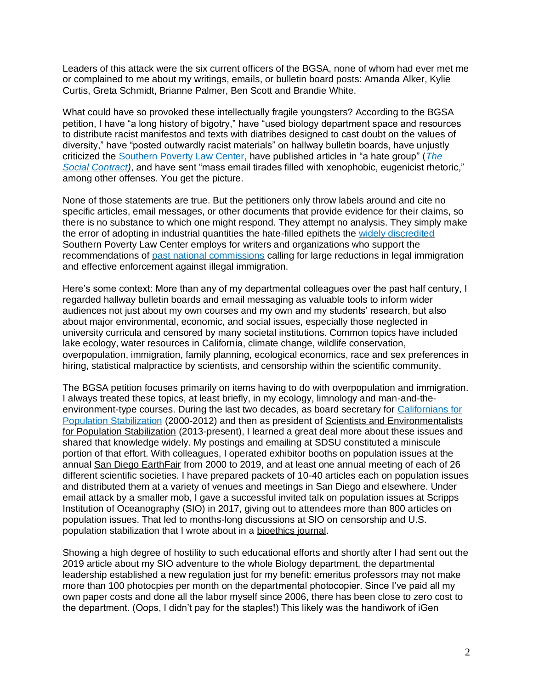Leaders of this attack were the six current officers of the BGSA, none of whom had ever met me or complained to me about my writings, emails, or bulletin board posts: Amanda Alker, Kylie Curtis, Greta Schmidt, Brianne Palmer, Ben Scott and Brandie White.

What could have so provoked these intellectually fragile youngsters? According to the BGSA petition, I have "a long history of bigotry," have "used biology department space and resources to distribute racist manifestos and texts with diatribes designed to cast doubt on the values of diversity," have "posted outwardly racist materials" on hallway bulletin boards, have unjustly criticized the [Southern Poverty Law Center,](http://fairus.org/sites/default/files/2019-04/SPLC-Tactics-Journalist-Guide.pdf?eType=EmailBlastContent&eId=84b60e35-a0f3-4b6a-b3f6-21fcc338a1e1) have published articles in "a hate group" (*[The](https://www.thesocialcontract.com/info/about_the_social_contract.html)  [Social Contract\)](https://www.thesocialcontract.com/info/about_the_social_contract.html)*, and have sent "mass email tirades filled with xenophobic, eugenicist rhetoric," among other offenses. You get the picture.

None of those statements are true. But the petitioners only throw labels around and cite no specific articles, email messages, or other documents that provide evidence for their claims, so there is no substance to which one might respond. They attempt no analysis. They simply make the error of adopting in industrial quantities the hate-filled epithets the [widely discredited](http://www.populationstabilization.org/censorship.html) Southern Poverty Law Center employs for writers and organizations who support the recommendations of [past national commissions](https://capsweb.org/blog/three-us-national-commissions-calling-immigration-reductions-and-us-population-stabilization/) calling for large reductions in legal immigration and effective enforcement against illegal immigration.

Here's some context: More than any of my departmental colleagues over the past half century, I regarded hallway bulletin boards and email messaging as valuable tools to inform wider audiences not just about my own courses and my own and my students' research, but also about major environmental, economic, and social issues, especially those neglected in university curricula and censored by many societal institutions. Common topics have included lake ecology, water resources in California, climate change, wildlife conservation, overpopulation, immigration, family planning, ecological economics, race and sex preferences in hiring, statistical malpractice by scientists, and censorship within the scientific community.

The BGSA petition focuses primarily on items having to do with overpopulation and immigration. I always treated these topics, at least briefly, in my ecology, limnology and man-and-theenvironment-type courses. During the last two decades, as board secretary for [Californians for](https://capsweb.org/)  [Population Stabilization](https://capsweb.org/) (2000-2012) and then as president of [Scientists and Environmentalists](http://www.populationstabilization.org/)  [for Population Stabilization](http://www.populationstabilization.org/) (2013-present), I learned a great deal more about these issues and shared that knowledge widely. My postings and emailing at SDSU constituted a miniscule portion of that effort. With colleagues, I operated exhibitor booths on population issues at the annual [San Diego EarthFair](https://www.earthdayweb.org/EarthFair.html) from 2000 to 2019, and at least one annual meeting of each of 26 different scientific societies. I have prepared packets of 10-40 articles each on population issues and distributed them at a variety of venues and meetings in San Diego and elsewhere. Under email attack by a smaller mob, I gave a successful invited talk on population issues at Scripps Institution of Oceanography (SIO) in 2017, giving out to attendees more than 800 articles on population issues. That led to months-long discussions at SIO on censorship and U.S. population stabilization that I wrote about in a [bioethics journal.](http://www.populationstabilization.org/pdfs/2019AttemptedSuppresionDecEJAIB.pdf)

Showing a high degree of hostility to such educational efforts and shortly after I had sent out the 2019 article about my SIO adventure to the whole Biology department, the departmental leadership established a new regulation just for my benefit: emeritus professors may not make more than 100 photocpies per month on the departmental photocopier. Since I've paid all my own paper costs and done all the labor myself since 2006, there has been close to zero cost to the department. (Oops, I didn't pay for the staples!) This likely was the handiwork of iGen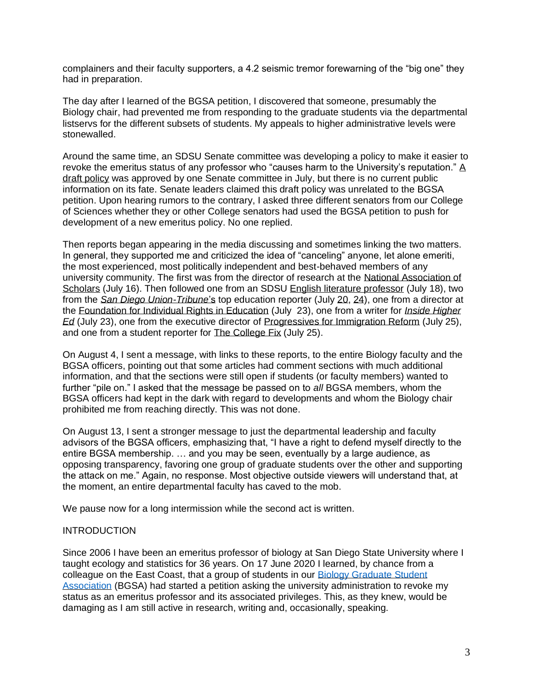complainers and their faculty supporters, a 4.2 seismic tremor forewarning of the "big one" they had in preparation.

The day after I learned of the BGSA petition, I discovered that someone, presumably the Biology chair, had prevented me from responding to the graduate students via the departmental listservs for the different subsets of students. My appeals to higher administrative levels were stonewalled.

Around the same time, an SDSU Senate committee was developing a policy to make it easier to revoke the emeritus status of any professor who "causes harm to the University's reputation." A [draft policy](https://senate.sdsu.edu/sec-agendas-minutes/documents/sec_agenda_july21_v5.pdf) was approved by one Senate committee in July, but there is no current public information on its fate. Senate leaders claimed this draft policy was unrelated to the BGSA petition. Upon hearing rumors to the contrary, I asked three different senators from our College of Sciences whether they or other College senators had used the BGSA petition to push for development of a new emeritus policy. No one replied.

Then reports began appearing in the media discussing and sometimes linking the two matters. In general, they supported me and criticized the idea of "canceling" anyone, let alone emeriti, the most experienced, most politically independent and best-behaved members of any university community. The first was from the director of research at the [National Association of](https://www.nas.org/blogs/article/an-emeritus-professor-under-siege-once-again)  [Scholars](https://www.nas.org/blogs/article/an-emeritus-professor-under-siege-once-again) (July 16). Then followed one from an SDSU [English literature professor](https://timesofsandiego.com/opinion/2020/07/18/new-faculty-rule-to-protect-sdsus-reputation-echoes-china-iran/) (July 18), two from the *[San Diego Union-Tribune](https://www.sandiegouniontribune.com/news/education/story/2020-07-20/an-attempt-to-control-what-sdsus-emeritus-professors-can-say-triggers-backlash)*'s top education reporter (July [20,](https://www.sandiegouniontribune.com/news/education/story/2020-07-20/an-attempt-to-control-what-sdsus-emeritus-professors-can-say-triggers-backlash) [24\)](https://www.sandiegouniontribune.com/news/education/story/2020-07-24/sdsu-reconsiders-emeritus-status), one from a director at the [Foundation for Individual Rights in Education](https://www.thefire.org/fire-letter-to-san-diego-state-university-july-23-2020/) (July 23), one from a writer for *[Inside Higher](https://www.insidehighered.com/news/2020/07/23/san-diego-state-faculty-committee-considers-proposal-strip-professors-emeritus)  [Ed](https://www.insidehighered.com/news/2020/07/23/san-diego-state-faculty-committee-considers-proposal-strip-professors-emeritus)* (July 23), one from the executive director of [Progressives for Immigration Reform](https://mailchi.mp/pfirdc/cancel-culture-lives-at-san-diego-state-university?e=b9219d56ee) (July 25), and one from a student reporter for [The College Fix](https://www.thecollegefix.com/retired-conservative-sdsu-professor-targeted-by-effort-to-revoke-his-emeritus-status/) (July 25).

On August 4, I sent a message, with links to these reports, to the entire Biology faculty and the BGSA officers, pointing out that some articles had comment sections with much additional information, and that the sections were still open if students (or faculty members) wanted to further "pile on." I asked that the message be passed on to *all* BGSA members, whom the BGSA officers had kept in the dark with regard to developments and whom the Biology chair prohibited me from reaching directly. This was not done.

On August 13, I sent a stronger message to just the departmental leadership and faculty advisors of the BGSA officers, emphasizing that, "I have a right to defend myself directly to the entire BGSA membership. … and you may be seen, eventually by a large audience, as opposing transparency, favoring one group of graduate students over the other and supporting the attack on me." Again, no response. Most objective outside viewers will understand that, at the moment, an entire departmental faculty has caved to the mob.

We pause now for a long intermission while the second act is written.

#### INTRODUCTION

Since 2006 I have been an emeritus professor of biology at San Diego State University where I taught ecology and statistics for 36 years. On 17 June 2020 I learned, by chance from a colleague on the East Coast, that a group of students in our [Biology Graduate](https://sdsubgsa.weebly.com/) Student [Association](https://sdsubgsa.weebly.com/) (BGSA) had started a petition asking the university administration to revoke my status as an emeritus professor and its associated privileges. This, as they knew, would be damaging as I am still active in research, writing and, occasionally, speaking.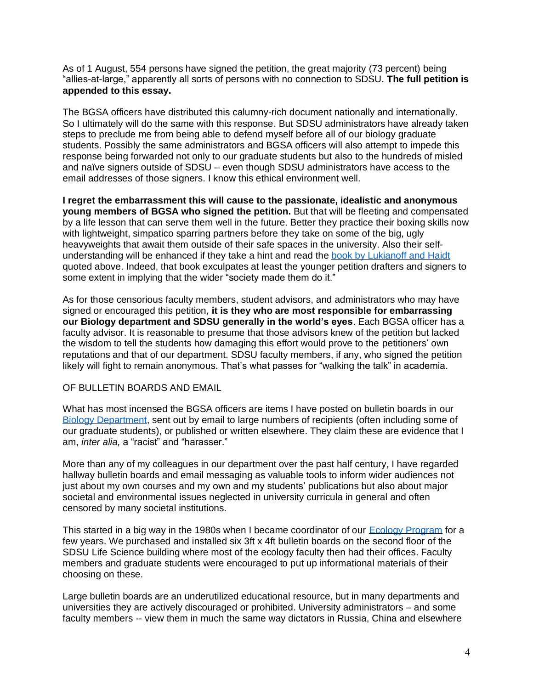As of 1 August, 554 persons have signed the petition, the great majority (73 percent) being "allies-at-large," apparently all sorts of persons with no connection to SDSU. **The full petition is appended to this essay.**

The BGSA officers have distributed this calumny-rich document nationally and internationally. So I ultimately will do the same with this response. But SDSU administrators have already taken steps to preclude me from being able to defend myself before all of our biology graduate students. Possibly the same administrators and BGSA officers will also attempt to impede this response being forwarded not only to our graduate students but also to the hundreds of misled and naïve signers outside of SDSU – even though SDSU administrators have access to the email addresses of those signers. I know this ethical environment well.

**I regret the embarrassment this will cause to the passionate, idealistic and anonymous young members of BGSA who signed the petition.** But that will be fleeting and compensated by a life lesson that can serve them well in the future. Better they practice their boxing skills now with lightweight, simpatico sparring partners before they take on some of the big, ugly heavyweights that await them outside of their safe spaces in the university. Also their selfunderstanding will be enhanced if they take a hint and read the [book by Lukianoff and Haidt](https://www.goodreads.com/book/show/36556202-the-coddling-of-the-american-mind) quoted above. Indeed, that book exculpates at least the younger petition drafters and signers to some extent in implying that the wider "society made them do it."

As for those censorious faculty members, student advisors, and administrators who may have signed or encouraged this petition, **it is they who are most responsible for embarrassing our Biology department and SDSU generally in the world's eyes**. Each BGSA officer has a faculty advisor. It is reasonable to presume that those advisors knew of the petition but lacked the wisdom to tell the students how damaging this effort would prove to the petitioners' own reputations and that of our department. SDSU faculty members, if any, who signed the petition likely will fight to remain anonymous. That's what passes for "walking the talk" in academia.

## OF BULLETIN BOARDS AND EMAIL

What has most incensed the BGSA officers are items I have posted on bulletin boards in our Biology [Department,](http://www.bio.sdsu.edu/) sent out by email to large numbers of recipients (often including some of our graduate students), or published or written elsewhere. They claim these are evidence that I am, *inter alia,* a "racist" and "harasser."

More than any of my colleagues in our department over the past half century, I have regarded hallway bulletin boards and email messaging as valuable tools to inform wider audiences not just about my own courses and my own and my students' publications but also about major societal and environmental issues neglected in university curricula in general and often censored by many societal institutions.

This started in a big way in the 1980s when I became coordinator of our **Ecology Program** for a few years. We purchased and installed six 3ft x 4ft bulletin boards on the second floor of the SDSU Life Science building where most of the ecology faculty then had their offices. Faculty members and graduate students were encouraged to put up informational materials of their choosing on these.

Large bulletin boards are an underutilized educational resource, but in many departments and universities they are actively discouraged or prohibited. University administrators – and some faculty members -- view them in much the same way dictators in Russia, China and elsewhere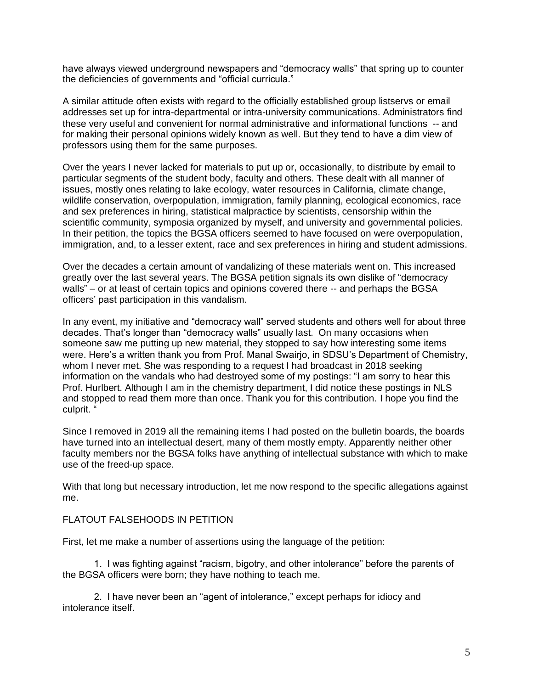have always viewed underground newspapers and "democracy walls" that spring up to counter the deficiencies of governments and "official curricula."

A similar attitude often exists with regard to the officially established group listservs or email addresses set up for intra-departmental or intra-university communications. Administrators find these very useful and convenient for normal administrative and informational functions -- and for making their personal opinions widely known as well. But they tend to have a dim view of professors using them for the same purposes.

Over the years I never lacked for materials to put up or, occasionally, to distribute by email to particular segments of the student body, faculty and others. These dealt with all manner of issues, mostly ones relating to lake ecology, water resources in California, climate change, wildlife conservation, overpopulation, immigration, family planning, ecological economics, race and sex preferences in hiring, statistical malpractice by scientists, censorship within the scientific community, symposia organized by myself, and university and governmental policies. In their petition, the topics the BGSA officers seemed to have focused on were overpopulation, immigration, and, to a lesser extent, race and sex preferences in hiring and student admissions.

Over the decades a certain amount of vandalizing of these materials went on. This increased greatly over the last several years. The BGSA petition signals its own dislike of "democracy walls" – or at least of certain topics and opinions covered there -- and perhaps the BGSA officers' past participation in this vandalism.

In any event, my initiative and "democracy wall" served students and others well for about three decades. That's longer than "democracy walls" usually last. On many occasions when someone saw me putting up new material, they stopped to say how interesting some items were. Here's a written thank you from Prof. Manal Swairjo, in SDSU's Department of Chemistry, whom I never met. She was responding to a request I had broadcast in 2018 seeking information on the vandals who had destroyed some of my postings: "I am sorry to hear this Prof. Hurlbert. Although I am in the chemistry department, I did notice these postings in NLS and stopped to read them more than once. Thank you for this contribution. I hope you find the culprit. "

Since I removed in 2019 all the remaining items I had posted on the bulletin boards, the boards have turned into an intellectual desert, many of them mostly empty. Apparently neither other faculty members nor the BGSA folks have anything of intellectual substance with which to make use of the freed-up space.

With that long but necessary introduction, let me now respond to the specific allegations against me.

#### FLATOUT FALSEHOODS IN PETITION

First, let me make a number of assertions using the language of the petition:

1. I was fighting against "racism, bigotry, and other intolerance" before the parents of the BGSA officers were born; they have nothing to teach me.

2. I have never been an "agent of intolerance," except perhaps for idiocy and intolerance itself.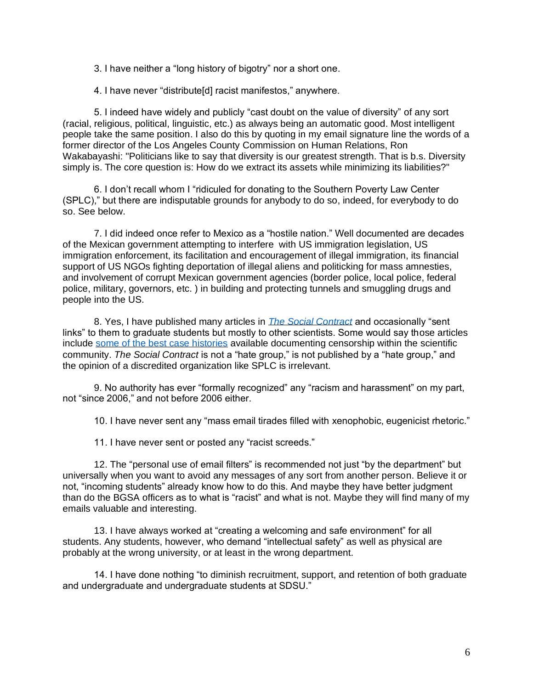3. I have neither a "long history of bigotry" nor a short one.

4. I have never "distribute[d] racist manifestos," anywhere.

5. I indeed have widely and publicly "cast doubt on the value of diversity" of any sort (racial, religious, political, linguistic, etc.) as always being an automatic good. Most intelligent people take the same position. I also do this by quoting in my email signature line the words of a former director of the Los Angeles County Commission on Human Relations, Ron Wakabayashi: "Politicians like to say that diversity is our greatest strength. That is b.s. Diversity simply is. The core question is: How do we extract its assets while minimizing its liabilities?"

6. I don't recall whom I "ridiculed for donating to the Southern Poverty Law Center (SPLC)," but there are indisputable grounds for anybody to do so, indeed, for everybody to do so. See below.

7. I did indeed once refer to Mexico as a "hostile nation." Well documented are decades of the Mexican government attempting to interfere with US immigration legislation, US immigration enforcement, its facilitation and encouragement of illegal immigration, its financial support of US NGOs fighting deportation of illegal aliens and politicking for mass amnesties, and involvement of corrupt Mexican government agencies (border police, local police, federal police, military, governors, etc. ) in building and protecting tunnels and smuggling drugs and people into the US.

8. Yes, I have published many articles in *[The Social Contract](https://www.thesocialcontract.com/info/about_the_social_contract.html)* and occasionally "sent links" to them to graduate students but mostly to other scientists. Some would say those articles include [some of the best case histories](https://www.thesocialcontract.com/artman2/publish/tsc_21_3/index.shtml) available documenting censorship within the scientific community. *The Social Contract* is not a "hate group," is not published by a "hate group," and the opinion of a discredited organization like SPLC is irrelevant.

9. No authority has ever "formally recognized" any "racism and harassment" on my part, not "since 2006," and not before 2006 either.

10. I have never sent any "mass email tirades filled with xenophobic, eugenicist rhetoric."

11. I have never sent or posted any "racist screeds."

12. The "personal use of email filters" is recommended not just "by the department" but universally when you want to avoid any messages of any sort from another person. Believe it or not, "incoming students" already know how to do this. And maybe they have better judgment than do the BGSA officers as to what is "racist" and what is not. Maybe they will find many of my emails valuable and interesting.

13. I have always worked at "creating a welcoming and safe environment" for all students. Any students, however, who demand "intellectual safety" as well as physical are probably at the wrong university, or at least in the wrong department.

14. I have done nothing "to diminish recruitment, support, and retention of both graduate and undergraduate and undergraduate students at SDSU."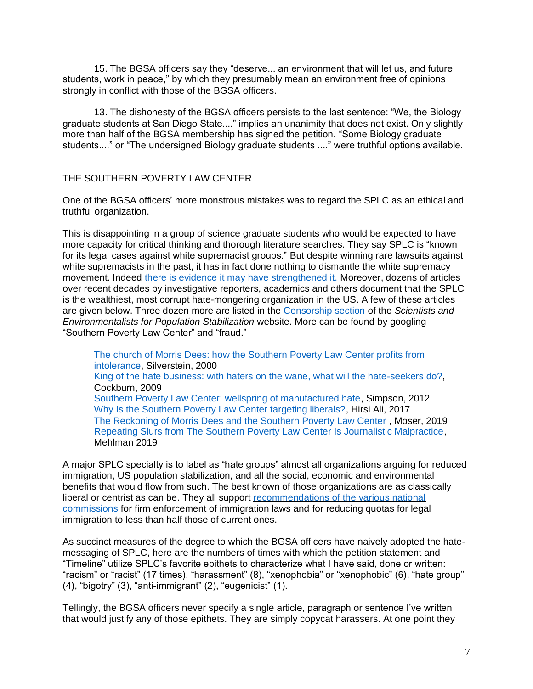15. The BGSA officers say they "deserve... an environment that will let us, and future students, work in peace," by which they presumably mean an environment free of opinions strongly in conflict with those of the BGSA officers.

13. The dishonesty of the BGSA officers persists to the last sentence: "We, the Biology graduate students at San Diego State...." implies an unanimity that does not exist. Only slightly more than half of the BGSA membership has signed the petition. "Some Biology graduate students...." or "The undersigned Biology graduate students ...." were truthful options available.

## THE SOUTHERN POVERTY LAW CENTER

One of the BGSA officers' more monstrous mistakes was to regard the SPLC as an ethical and truthful organization.

This is disappointing in a group of science graduate students who would be expected to have more capacity for critical thinking and thorough literature searches. They say SPLC is "known for its legal cases against white supremacist groups." But despite winning rare lawsuits against white supremacists in the past, it has in fact done nothing to dismantle the white supremacy movement. Indeed [there is evidence it may have strengthened it.](http://citeseerx.ist.psu.edu/viewdoc/download?doi=10.1.1.857.8064&rep=rep1&type=pdf) Moreover, dozens of articles over recent decades by investigative reporters, academics and others document that the SPLC is the wealthiest, most corrupt hate-mongering organization in the US. A few of these articles are given below. Three dozen more are listed in the [Censorship section](http://www.populationstabilization.org/censorship.html) of the *Scientists and Environmentalists for Population Stabilization* website. More can be found by googling "Southern Poverty Law Center" and "fraud."

[The church of Morris Dees: how the Southern Poverty Law Center profits from](http://harpers.org/archive/2000/11/the-church-of-morris-dees/)  [intolerance,](http://harpers.org/archive/2000/11/the-church-of-morris-dees/) Silverstein, 2000 [King of the hate business: with haters on the wane, what will the hate-seekers do?,](https://www.thenation.com/article/king-hate-business/) Cockburn, 2009 [Southern Poverty Law Center: wellspring of manufactured hate,](http://www.cairco.org/news/southern-poverty-law-center-wellspring-manufactured-hate) Simpson, 2012 [Why Is the Southern Poverty Law Center targeting liberals?,](https://www.nytimes.com/2017/08/24/opinion/southern-poverty-law-center-liberals-islam.html?mcubz=0) Hirsi Ali, 2017 [The Reckoning of Morris Dees and the Southern Poverty Law Center](https://www.newyorker.com/news/news-desk/the-reckoning-of-morris-dees-and-the-southern-poverty-law-center) , Moser, 2019 [Repeating Slurs from The Southern Poverty Law Center Is Journalistic Malpractice,](https://dailycaller.com/2019/04/22/mehlman-splc-malpractice/) Mehlman 2019

A major SPLC specialty is to label as "hate groups" almost all organizations arguing for reduced immigration, US population stabilization, and all the social, economic and environmental benefits that would flow from such. The best known of those organizations are as classically liberal or centrist as can be. They all support recommendations of the various national [commissions](https://capsweb.org/blog/three-us-national-commissions-calling-immigration-reductions-and-us-population-stabilization/) for firm enforcement of immigration laws and for reducing quotas for legal immigration to less than half those of current ones.

As succinct measures of the degree to which the BGSA officers have naively adopted the hatemessaging of SPLC, here are the numbers of times with which the petition statement and "Timeline" utilize SPLC's favorite epithets to characterize what I have said, done or written: "racism" or "racist" (17 times), "harassment" (8), "xenophobia" or "xenophobic" (6), "hate group" (4), "bigotry" (3), "anti-immigrant" (2), "eugenicist" (1).

Tellingly, the BGSA officers never specify a single article, paragraph or sentence I've written that would justify any of those epithets. They are simply copycat harassers. At one point they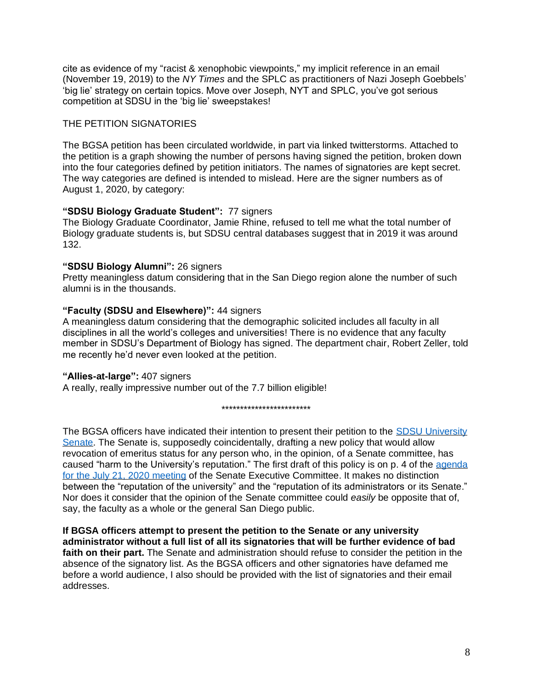cite as evidence of my "racist & xenophobic viewpoints," my implicit reference in an email (November 19, 2019) to the *NY Times* and the SPLC as practitioners of Nazi Joseph Goebbels' 'big lie' strategy on certain topics. Move over Joseph, NYT and SPLC, you've got serious competition at SDSU in the 'big lie' sweepstakes!

## THE PETITION SIGNATORIES

The BGSA petition has been circulated worldwide, in part via linked twitterstorms. Attached to the petition is a graph showing the number of persons having signed the petition, broken down into the four categories defined by petition initiators. The names of signatories are kept secret. The way categories are defined is intended to mislead. Here are the signer numbers as of August 1, 2020, by category:

## **"SDSU Biology Graduate Student":** 77 signers

The Biology Graduate Coordinator, Jamie Rhine, refused to tell me what the total number of Biology graduate students is, but SDSU central databases suggest that in 2019 it was around 132.

## **"SDSU Biology Alumni":** 26 signers

Pretty meaningless datum considering that in the San Diego region alone the number of such alumni is in the thousands.

## **"Faculty (SDSU and Elsewhere)":** 44 signers

A meaningless datum considering that the demographic solicited includes all faculty in all disciplines in all the world's colleges and universities! There is no evidence that any faculty member in SDSU's Department of Biology has signed. The department chair, Robert Zeller, told me recently he'd never even looked at the petition.

## **"Allies-at-large":** 407 signers

A really, really impressive number out of the 7.7 billion eligible!

\*\*\*\*\*\*\*\*\*\*\*\*\*\*\*\*\*\*\*\*\*\*\*\*

The BGSA officers have indicated their intention to present their petition to the SDSU University [Senate.](https://senate.sdsu.edu/) The Senate is, supposedly coincidentally, drafting a new policy that would allow revocation of emeritus status for any person who, in the opinion, of a Senate committee, has caused "harm to the University's reputation." The first draft of this policy is on p. 4 of the agenda [for the July 21, 2020 meeting](https://senate.sdsu.edu/sec-agendas-minutes/documents/sec_agenda_july21_v5.pdfhttps:/senate.sdsu.edu/sec-agendas-minutes/documents/sec_agenda_july21_v5.pdfhttps:/senate.sdsu.edu/sec-agendas-minutes/documents/sec_agenda_july21_v5.pdf) of the Senate Executive Committee. It makes no distinction between the "reputation of the university" and the "reputation of its administrators or its Senate." Nor does it consider that the opinion of the Senate committee could *easily* be opposite that of, say, the faculty as a whole or the general San Diego public.

**If BGSA officers attempt to present the petition to the Senate or any university administrator without a full list of all its signatories that will be further evidence of bad faith on their part.** The Senate and administration should refuse to consider the petition in the absence of the signatory list. As the BGSA officers and other signatories have defamed me before a world audience, I also should be provided with the list of signatories and their email addresses.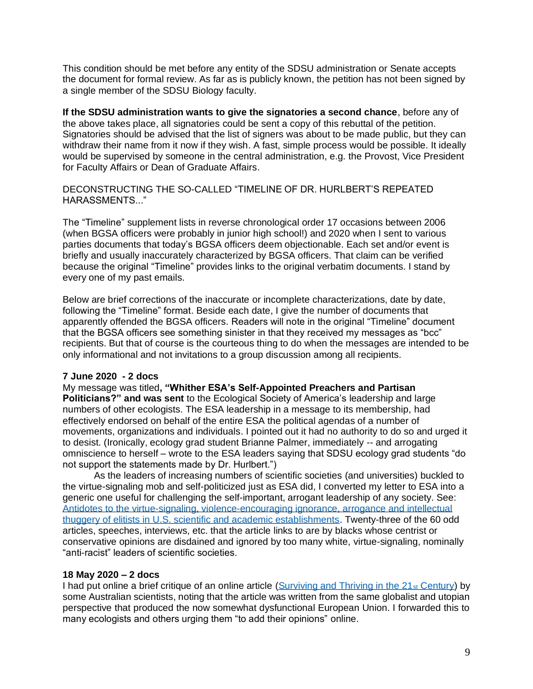This condition should be met before any entity of the SDSU administration or Senate accepts the document for formal review. As far as is publicly known, the petition has not been signed by a single member of the SDSU Biology faculty.

**If the SDSU administration wants to give the signatories a second chance**, before any of the above takes place, all signatories could be sent a copy of this rebuttal of the petition. Signatories should be advised that the list of signers was about to be made public, but they can withdraw their name from it now if they wish. A fast, simple process would be possible. It ideally would be supervised by someone in the central administration, e.g. the Provost, Vice President for Faculty Affairs or Dean of Graduate Affairs.

DECONSTRUCTING THE SO-CALLED "TIMELINE OF DR. HURLBERT'S REPEATED. HARASSMENTS "

The "Timeline" supplement lists in reverse chronological order 17 occasions between 2006 (when BGSA officers were probably in junior high school!) and 2020 when I sent to various parties documents that today's BGSA officers deem objectionable. Each set and/or event is briefly and usually inaccurately characterized by BGSA officers. That claim can be verified because the original "Timeline" provides links to the original verbatim documents. I stand by every one of my past emails.

Below are brief corrections of the inaccurate or incomplete characterizations, date by date, following the "Timeline" format. Beside each date, I give the number of documents that apparently offended the BGSA officers. Readers will note in the original "Timeline" document that the BGSA officers see something sinister in that they received my messages as "bcc" recipients. But that of course is the courteous thing to do when the messages are intended to be only informational and not invitations to a group discussion among all recipients.

#### **7 June 2020 - 2 docs**

My message was titled**, "Whither ESA's Self-Appointed Preachers and Partisan Politicians?" and was sent** to the Ecological Society of America's leadership and large numbers of other ecologists. The ESA leadership in a message to its membership, had effectively endorsed on behalf of the entire ESA the political agendas of a number of movements, organizations and individuals. I pointed out it had no authority to do so and urged it to desist. (Ironically, ecology grad student Brianne Palmer, immediately -- and arrogating omniscience to herself – wrote to the ESA leaders saying that SDSU ecology grad students "do not support the statements made by Dr. Hurlbert.")

As the leaders of increasing numbers of scientific societies (and universities) buckled to the virtue-signaling mob and self-politicized just as ESA did, I converted my letter to ESA into a generic one useful for challenging the self-important, arrogant leadership of any society. See: [Antidotes to the virtue-signaling, violence-encouraging ignorance, arrogance and intellectual](http://www.populationstabilization.org/pdfs/Hurlbert2020AntidotesToIgnorance.pdf)  [thuggery of elitists in U.S. scientific and academic establishments.](http://www.populationstabilization.org/pdfs/Hurlbert2020AntidotesToIgnorance.pdf) Twenty-three of the 60 odd articles, speeches, interviews, etc. that the article links to are by blacks whose centrist or conservative opinions are disdained and ignored by too many white, virtue-signaling, nominally "anti-racist" leaders of scientific societies.

## **18 May 2020 – 2 docs**

I had put online a brief critique of an online article [\(Surviving and Thriving in the 21](https://mahb.stanford.edu/library-item/surviving-and-thriving-in-the-21st-century/)<sub>st</sub> Century) by some Australian scientists, noting that the article was written from the same globalist and utopian perspective that produced the now somewhat dysfunctional European Union. I forwarded this to many ecologists and others urging them "to add their opinions" online.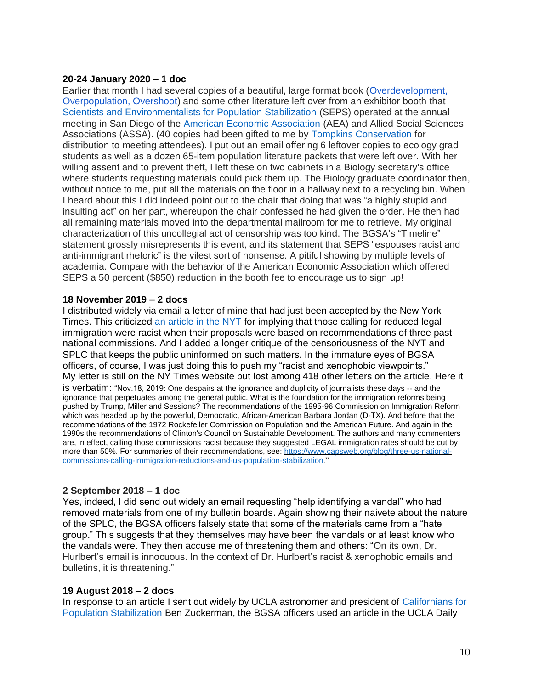#### **20-24 January 2020 – 1 doc**

Earlier that month I had several copies of a beautiful, large format book (Overdevelopment, [Overpopulation, Overshoot\)](https://www.amazon.com/Overdevelopment-Overpopulation-Overshoot-Tom-Butler/dp/1939621232) and some other literature left over from an exhibitor booth that [Scientists and Environmentalists for Population Stabilization](http://www.populationstabilization.org/) (SEPS) operated at the annual meeting in San Diego of the [American Economic Association](https://www.aeaweb.org/conference/2020/preliminary) (AEA) and Allied Social Sciences Associations (ASSA). (40 copies had been gifted to me by [Tompkins Conservation](https://www.tompkinsconservation.org/) for distribution to meeting attendees). I put out an email offering 6 leftover copies to ecology grad students as well as a dozen 65-item population literature packets that were left over. With her willing assent and to prevent theft, I left these on two cabinets in a Biology secretary's office where students requesting materials could pick them up. The Biology graduate coordinator then, without notice to me, put all the materials on the floor in a hallway next to a recycling bin. When I heard about this I did indeed point out to the chair that doing that was "a highly stupid and insulting act" on her part, whereupon the chair confessed he had given the order. He then had all remaining materials moved into the departmental mailroom for me to retrieve. My original characterization of this uncollegial act of censorship was too kind. The BGSA's "Timeline" statement grossly misrepresents this event, and its statement that SEPS "espouses racist and anti-immigrant rhetoric" is the vilest sort of nonsense. A pitiful showing by multiple levels of academia. Compare with the behavior of the American Economic Association which offered SEPS a 50 percent (\$850) reduction in the booth fee to encourage us to sign up!

#### **18 November 2019** – **2 docs**

I distributed widely via email a letter of mine that had just been accepted by the New York Times. This criticized [an article in the NYT](https://www.nytimes.com/2019/11/18/us/politics/stephen-miller-white-nationalism.html?auth=login-email&login=email) for implying that those calling for reduced legal immigration were racist when their proposals were based on recommendations of three past national commissions. And I added a longer critique of the censoriousness of the NYT and SPLC that keeps the public uninformed on such matters. In the immature eyes of BGSA officers, of course, I was just doing this to push my "racist and xenophobic viewpoints." My letter is still on the NY Times website but lost among 418 other letters on the article. Here it is verbatim: "Nov.18, 2019: One despairs at the ignorance and duplicity of journalists these days -- and the ignorance that perpetuates among the general public. What is the foundation for the immigration reforms being pushed by Trump, Miller and Sessions? The recommendations of the 1995-96 Commission on Immigration Reform which was headed up by the powerful, Democratic, African-American Barbara Jordan (D-TX). And before that the recommendations of the 1972 Rockefeller Commission on Population and the American Future. And again in the 1990s the recommendations of Clinton's Council on Sustainable Development. The authors and many commenters are, in effect, calling those commissions racist because they suggested LEGAL immigration rates should be cut by more than 50%. For summaries of their recommendations, see: [https://www.capsweb.org/blog/three-us-national](https://www.capsweb.org/blog/three-us-national-commissions-calling-immigration-reductions-and-us-population-stabilization)[commissions-calling-immigration-reductions-and-us-population-stabilization](https://www.capsweb.org/blog/three-us-national-commissions-calling-immigration-reductions-and-us-population-stabilization)."

## **2 September 2018 – 1 doc**

Yes, indeed, I did send out widely an email requesting "help identifying a vandal" who had removed materials from one of my bulletin boards. Again showing their naivete about the nature of the SPLC, the BGSA officers falsely state that some of the materials came from a "hate group." This suggests that they themselves may have been the vandals or at least know who the vandals were. They then accuse me of threatening them and others: "On its own, Dr. Hurlbert's email is innocuous. In the context of Dr. Hurlbert's racist & xenophobic emails and bulletins, it is threatening."

#### **19 August 2018 – 2 docs**

In response to an article I sent out widely by UCLA astronomer and president of [Californians for](https://capsweb.org/)  [Population Stabilization](https://capsweb.org/) Ben Zuckerman, the BGSA officers used an article in the UCLA Daily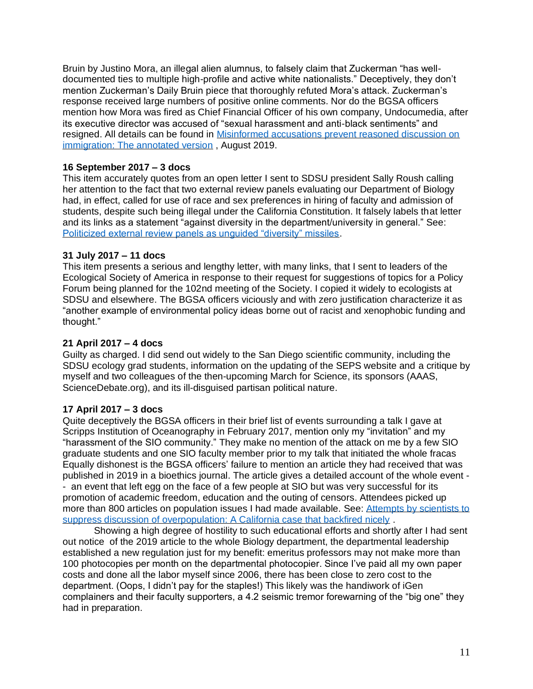Bruin by Justino Mora, an illegal alien alumnus, to falsely claim that Zuckerman "has welldocumented ties to multiple high-profile and active white nationalists." Deceptively, they don't mention Zuckerman's Daily Bruin piece that thoroughly refuted Mora's attack. Zuckerman's response received large numbers of positive online comments. Nor do the BGSA officers mention how Mora was fired as Chief Financial Officer of his own company, Undocumedia, after its executive director was accused of "sexual harassment and anti-black sentiments" and resigned. All details can be found in [Misinformed accusations prevent reasoned discussion on](http://www.cairco.org/blog/misinformed-accusations-prevent-reasoned-discussion-immigration)  [immigration: The annotated version](http://www.cairco.org/blog/misinformed-accusations-prevent-reasoned-discussion-immigration) , August 2019.

## **16 September 2017 – 3 docs**

This item accurately quotes from an open letter I sent to SDSU president Sally Roush calling her attention to the fact that two external review panels evaluating our Department of Biology had, in effect, called for use of race and sex preferences in hiring of faculty and admission of students, despite such being illegal under the California Constitution. It falsely labels that letter and its links as a statement "against diversity in the department/university in general." See: [Politicized external review panels as unguided "diversity" missiles.](https://www.ceousa.org/about-ceo/docs/1140-politicized-external-review-panels-as-unguided-diversity-missiles)

#### **31 July 2017 – 11 docs**

This item presents a serious and lengthy letter, with many links, that I sent to leaders of the Ecological Society of America in response to their request for suggestions of topics for a Policy Forum being planned for the 102nd meeting of the Society. I copied it widely to ecologists at SDSU and elsewhere. The BGSA officers viciously and with zero justification characterize it as "another example of environmental policy ideas borne out of racist and xenophobic funding and thought."

#### **21 April 2017 – 4 docs**

Guilty as charged. I did send out widely to the San Diego scientific community, including the SDSU ecology grad students, information on the updating of the SEPS website and a critique by myself and two colleagues of the then-upcoming March for Science, its sponsors (AAAS, ScienceDebate.org), and its ill-disguised partisan political nature.

## **17 April 2017 – 3 docs**

Quite deceptively the BGSA officers in their brief list of events surrounding a talk I gave at Scripps Institution of Oceanography in February 2017, mention only my "invitation" and my "harassment of the SIO community." They make no mention of the attack on me by a few SIO graduate students and one SIO faculty member prior to my talk that initiated the whole fracas Equally dishonest is the BGSA officers' failure to mention an article they had received that was published in 2019 in a bioethics journal. The article gives a detailed account of the whole event - - an event that left egg on the face of a few people at SIO but was very successful for its promotion of academic freedom, education and the outing of censors. Attendees picked up more than 800 articles on population issues I had made available. See: Attempts by scientists to [suppress discussion of overpopulation: A California case that backfired nicely](https://eubios.info/EJAIB92019.pdf).

Showing a high degree of hostility to such educational efforts and shortly after I had sent out notice of the 2019 article to the whole Biology department, the departmental leadership established a new regulation just for my benefit: emeritus professors may not make more than 100 photocopies per month on the departmental photocopier. Since I've paid all my own paper costs and done all the labor myself since 2006, there has been close to zero cost to the department. (Oops, I didn't pay for the staples!) This likely was the handiwork of iGen complainers and their faculty supporters, a 4.2 seismic tremor forewarning of the "big one" they had in preparation.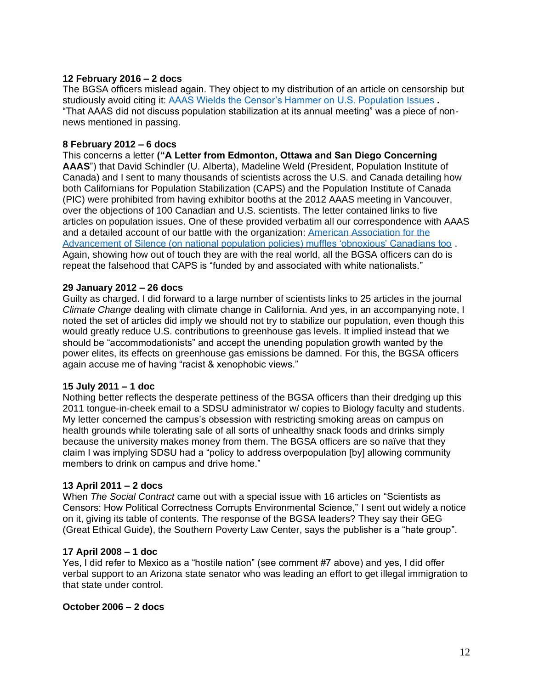## **12 February 2016 – 2 docs**

The BGSA officers mislead again. They object to my distribution of an article on censorship but studiously avoid citing it: [AAAS Wields the Censor's Hammer on U.S. Population Issues](http://www.capsweb.org/blog/aaas-wields-censor%E2%80%99s-hammer-us-population-issues) **.**  "That AAAS did not discuss population stabilization at its annual meeting" was a piece of nonnews mentioned in passing.

#### **8 February 2012 – 6 docs**

This concerns a letter **("A Letter from Edmonton, Ottawa and San Diego Concerning AAAS**") that David Schindler (U. Alberta), Madeline Weld (President, Population Institute of Canada) and I sent to many thousands of scientists across the U.S. and Canada detailing how both Californians for Population Stabilization (CAPS) and the Population Institute of Canada (PIC) were prohibited from having exhibitor booths at the 2012 AAAS meeting in Vancouver, over the objections of 100 Canadian and U.S. scientists. The letter contained links to five articles on population issues. One of these provided verbatim all our correspondence with AAAS and a detailed account of our battle with the organization: [American Association for the](https://www.thesocialcontract.com/artman2/publish/tsc_22_2/tsc_22_2_schindler.shtml)  [Advancement of Silence \(on national population policies\) muffles 'obnoxious' Canadians too](https://www.thesocialcontract.com/artman2/publish/tsc_22_2/tsc_22_2_schindler.shtml) . Again, showing how out of touch they are with the real world, all the BGSA officers can do is repeat the falsehood that CAPS is "funded by and associated with white nationalists."

## **29 January 2012 – 26 docs**

Guilty as charged. I did forward to a large number of scientists links to 25 articles in the journal *Climate Change* dealing with climate change in California. And yes, in an accompanying note, I noted the set of articles did imply we should not try to stabilize our population, even though this would greatly reduce U.S. contributions to greenhouse gas levels. It implied instead that we should be "accommodationists" and accept the unending population growth wanted by the power elites, its effects on greenhouse gas emissions be damned. For this, the BGSA officers again accuse me of having "racist & xenophobic views."

## **15 July 2011 – 1 doc**

Nothing better reflects the desperate pettiness of the BGSA officers than their dredging up this 2011 tongue-in-cheek email to a SDSU administrator w/ copies to Biology faculty and students. My letter concerned the campus's obsession with restricting smoking areas on campus on health grounds while tolerating sale of all sorts of unhealthy snack foods and drinks simply because the university makes money from them. The BGSA officers are so naïve that they claim I was implying SDSU had a "policy to address overpopulation [by] allowing community members to drink on campus and drive home."

## **13 April 2011 – 2 docs**

When *The Social Contract* came out with a special issue with 16 articles on "Scientists as Censors: How Political Correctness Corrupts Environmental Science," I sent out widely a notice on it, giving its table of contents. The response of the BGSA leaders? They say their GEG (Great Ethical Guide), the Southern Poverty Law Center, says the publisher is a "hate group".

#### **17 April 2008 – 1 doc**

Yes, I did refer to Mexico as a "hostile nation" (see comment #7 above) and yes, I did offer verbal support to an Arizona state senator who was leading an effort to get illegal immigration to that state under control.

#### **October 2006 – 2 docs**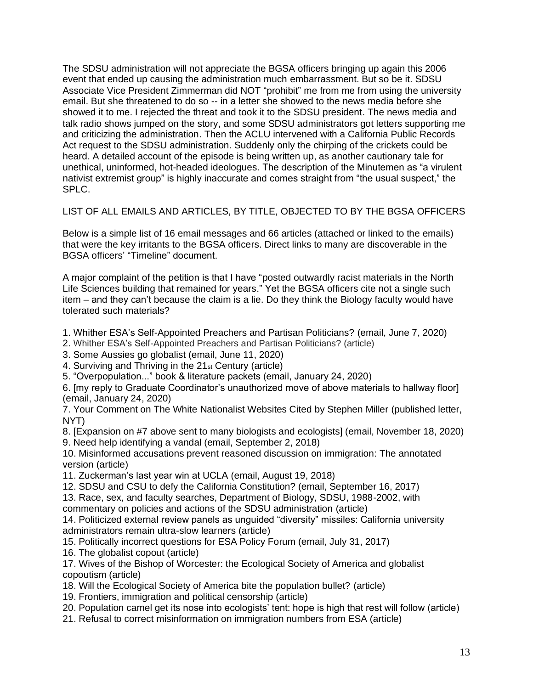The SDSU administration will not appreciate the BGSA officers bringing up again this 2006 event that ended up causing the administration much embarrassment. But so be it. SDSU Associate Vice President Zimmerman did NOT "prohibit" me from me from using the university email. But she threatened to do so -- in a letter she showed to the news media before she showed it to me. I rejected the threat and took it to the SDSU president. The news media and talk radio shows jumped on the story, and some SDSU administrators got letters supporting me and criticizing the administration. Then the ACLU intervened with a California Public Records Act request to the SDSU administration. Suddenly only the chirping of the crickets could be heard. A detailed account of the episode is being written up, as another cautionary tale for unethical, uninformed, hot-headed ideologues. The description of the Minutemen as "a virulent nativist extremist group" is highly inaccurate and comes straight from "the usual suspect," the SPLC.

LIST OF ALL EMAILS AND ARTICLES, BY TITLE, OBJECTED TO BY THE BGSA OFFICERS

Below is a simple list of 16 email messages and 66 articles (attached or linked to the emails) that were the key irritants to the BGSA officers. Direct links to many are discoverable in the BGSA officers' "Timeline" document.

A major complaint of the petition is that I have "posted outwardly racist materials in the North Life Sciences building that remained for years." Yet the BGSA officers cite not a single such item – and they can't because the claim is a lie. Do they think the Biology faculty would have tolerated such materials?

- 1. Whither ESA's Self-Appointed Preachers and Partisan Politicians? (email, June 7, 2020)
- 2. Whither ESA's Self-Appointed Preachers and Partisan Politicians? (article)
- 3. Some Aussies go globalist (email, June 11, 2020)
- 4. Surviving and Thriving in the 21st Century (article)
- 5. "Overpopulation..." book & literature packets (email, January 24, 2020)

6. [my reply to Graduate Coordinator's unauthorized move of above materials to hallway floor] (email, January 24, 2020)

7. Your Comment on The White Nationalist Websites Cited by Stephen Miller (published letter, NYT)

8. [Expansion on #7 above sent to many biologists and ecologists] (email, November 18, 2020) 9. Need help identifying a vandal (email, September 2, 2018)

10. Misinformed accusations prevent reasoned discussion on immigration: The annotated version (article)

11. Zuckerman's last year win at UCLA (email, August 19, 2018)

12. SDSU and CSU to defy the California Constitution? (email, September 16, 2017)

13. Race, sex, and faculty searches, Department of Biology, SDSU, 1988-2002, with

commentary on policies and actions of the SDSU administration (article)

14. Politicized external review panels as unguided "diversity" missiles: California university administrators remain ultra-slow learners (article)

15. Politically incorrect questions for ESA Policy Forum (email, July 31, 2017)

16. The globalist copout (article)

17. Wives of the Bishop of Worcester: the Ecological Society of America and globalist copoutism (article)

18. Will the Ecological Society of America bite the population bullet? (article)

- 19. Frontiers, immigration and political censorship (article)
- 20. Population camel get its nose into ecologists' tent: hope is high that rest will follow (article)
- 21. Refusal to correct misinformation on immigration numbers from ESA (article)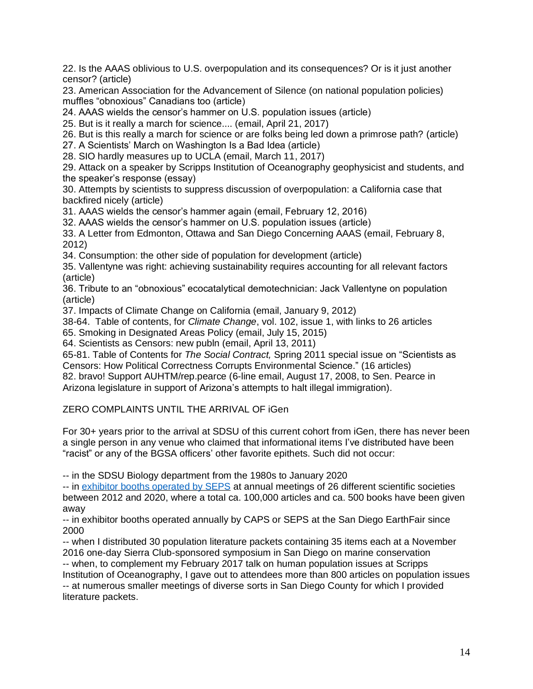22. Is the AAAS oblivious to U.S. overpopulation and its consequences? Or is it just another censor? (article)

23. American Association for the Advancement of Silence (on national population policies) muffles "obnoxious" Canadians too (article)

24. AAAS wields the censor's hammer on U.S. population issues (article)

25. But is it really a march for science.... (email, April 21, 2017)

26. But is this really a march for science or are folks being led down a primrose path? (article)

27. A Scientists' March on Washington Is a Bad Idea (article)

28. SIO hardly measures up to UCLA (email, March 11, 2017)

29. Attack on a speaker by Scripps Institution of Oceanography geophysicist and students, and the speaker's response (essay)

30. Attempts by scientists to suppress discussion of overpopulation: a California case that backfired nicely (article)

31. AAAS wields the censor's hammer again (email, February 12, 2016)

32. AAAS wields the censor's hammer on U.S. population issues (article)

33. A Letter from Edmonton, Ottawa and San Diego Concerning AAAS (email, February 8, 2012)

34. Consumption: the other side of population for development (article)

35. Vallentyne was right: achieving sustainability requires accounting for all relevant factors (article)

36. Tribute to an "obnoxious" ecocatalytical demotechnician: Jack Vallentyne on population (article)

37. Impacts of Climate Change on California (email, January 9, 2012)

38-64. Table of contents, for *Climate Change*, vol. 102, issue 1, with links to 26 articles

65. Smoking in Designated Areas Policy (email, July 15, 2015)

64. Scientists as Censors: new publn (email, April 13, 2011)

65-81. Table of Contents for *The Social Contract,* Spring 2011 special issue on "Scientists as Censors: How Political Correctness Corrupts Environmental Science." (16 articles) 82. bravo! Support AUHTM/rep.pearce (6-line email, August 17, 2008, to Sen. Pearce in

Arizona legislature in support of Arizona's attempts to halt illegal immigration).

ZERO COMPLAINTS UNTIL THE ARRIVAL OF iGen

For 30+ years prior to the arrival at SDSU of this current cohort from iGen, there has never been a single person in any venue who claimed that informational items I've distributed have been "racist" or any of the BGSA officers' other favorite epithets. Such did not occur:

-- in the SDSU Biology department from the 1980s to January 2020

-- in [exhibitor booths operated by SEPS](http://www.populationstabilization.org/booth.html) at annual meetings of 26 different scientific societies between 2012 and 2020, where a total ca. 100,000 articles and ca. 500 books have been given away

-- in exhibitor booths operated annually by CAPS or SEPS at the San Diego EarthFair since 2000

-- when I distributed 30 population literature packets containing 35 items each at a November 2016 one-day Sierra Club-sponsored symposium in San Diego on marine conservation -- when, to complement my February 2017 talk on human population issues at Scripps Institution of Oceanography, I gave out to attendees more than 800 articles on population issues -- at numerous smaller meetings of diverse sorts in San Diego County for which I provided literature packets.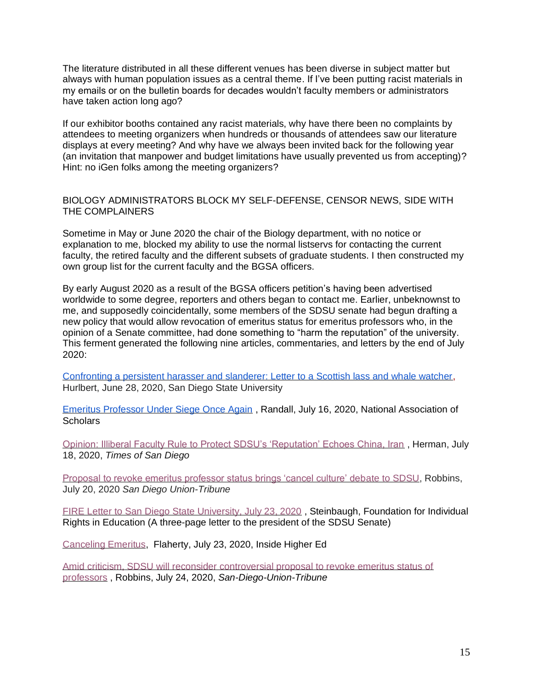The literature distributed in all these different venues has been diverse in subject matter but always with human population issues as a central theme. If I've been putting racist materials in my emails or on the bulletin boards for decades wouldn't faculty members or administrators have taken action long ago?

If our exhibitor booths contained any racist materials, why have there been no complaints by attendees to meeting organizers when hundreds or thousands of attendees saw our literature displays at every meeting? And why have we always been invited back for the following year (an invitation that manpower and budget limitations have usually prevented us from accepting)? Hint: no iGen folks among the meeting organizers?

## BIOLOGY ADMINISTRATORS BLOCK MY SELF-DEFENSE, CENSOR NEWS, SIDE WITH THE COMPLAINERS

Sometime in May or June 2020 the chair of the Biology department, with no notice or explanation to me, blocked my ability to use the normal listservs for contacting the current faculty, the retired faculty and the different subsets of graduate students. I then constructed my own group list for the current faculty and the BGSA officers.

By early August 2020 as a result of the BGSA officers petition's having been advertised worldwide to some degree, reporters and others began to contact me. Earlier, unbeknownst to me, and supposedly coincidentally, some members of the SDSU senate had begun drafting a new policy that would allow revocation of emeritus status for emeritus professors who, in the opinion of a Senate committee, had done something to "harm the reputation" of the university. This ferment generated the following nine articles, commentaries, and letters by the end of July  $2020 -$ 

[Confronting a persistent harasser and slanderer: Letter to a Scottish lass and whale watcher,](http://www.populationstabilization.org/pdfs/Hurlbert2020ConfrontingPersistentHarasser.pdf) [Hurlbert, June 28, 2020, San Diego State University](https://www.nas.org/blogs/article/an-emeritus-professor-under-siege-once-again)

[Emeritus Professor Under Siege Once Again](https://www.nas.org/blogs/article/an-emeritus-professor-under-siege-once-again) , Randall, July 16, 2020, National Association of **Scholars** 

[Opinion: Illiberal Faculty Rule to Protect SDSU's 'Reputation' Echoes China, Iran](https://timesofsandiego.com/opinion/2020/07/18/new-faculty-rule-to-protect-sdsus-reputation-echoes-china-iran/) , Herman, July 18, 2020, *Times of San Diego*

[Proposal to revoke emeritus professor status brings 'cancel culture' debate to SDSU,](https://www.sandiegouniontribune.com/news/education/story/2020-07-20/an-attempt-to-control-what-sdsus-emeritus-professors-can-say-triggers-backlash) Robbins, July 20, 2020 *San Diego Union-Tribune*

[FIRE Letter to San Diego State University, July 23, 2020](https://www.thefire.org/fire-letter-to-san-diego-state-university-july-23-2020/) , Steinbaugh, Foundation for Individual Rights in Education (A three-page letter to the president of the SDSU Senate)

[Canceling Emeritus,](https://www.insidehighered.com/news/2020/07/23/san-diego-state-faculty-committee-considers-proposal-strip-professors-emeritus) Flaherty, July 23, 2020, Inside Higher Ed

[Amid criticism, SDSU will reconsider controversial proposal to revoke emeritus status of](https://www.sandiegouniontribune.com/news/education/story/2020-07-24/sdsu-reconsiders-emeritus-status)  [professors](https://www.sandiegouniontribune.com/news/education/story/2020-07-24/sdsu-reconsiders-emeritus-status) , Robbins, July 24, 2020, *San-Diego-Union-Tribune*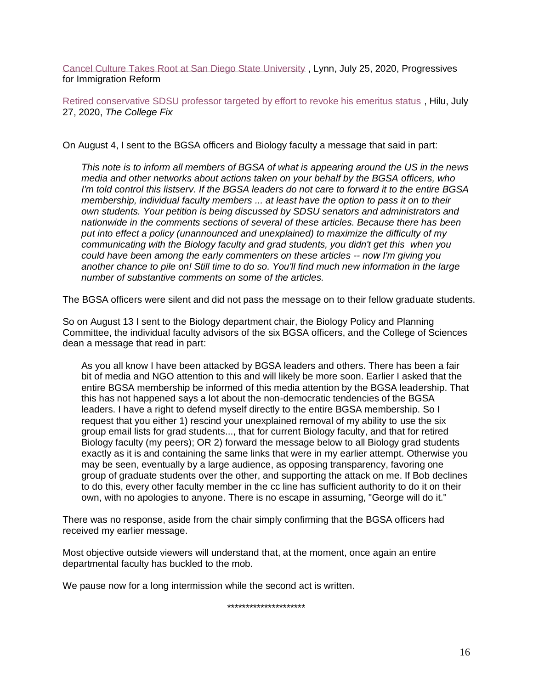[Cancel Culture Takes Root at San Diego State University](https://mailchi.mp/pfirdc/cancel-culture-lives-at-san-diego-state-university?e=b9219d56ee) , Lynn, July 25, 2020, Progressives for Immigration Reform

[Retired conservative SDSU professor targeted by effort to revoke his emeritus status](https://www.thecollegefix.com/retired-conservative-sdsu-professor-targeted-by-effort-to-revoke-his-emeritus-status/), Hilu, July 27, 2020, *The College Fix*

On August 4, I sent to the BGSA officers and Biology faculty a message that said in part:

*This note is to inform all members of BGSA of what is appearing around the US in the news media and other networks about actions taken on your behalf by the BGSA officers, who I'm told control this listserv. If the BGSA leaders do not care to forward it to the entire BGSA membership, individual faculty members ... at least have the option to pass it on to their own students. Your petition is being discussed by SDSU senators and administrators and nationwide in the comments sections of several of these articles. Because there has been put into effect a policy (unannounced and unexplained) to maximize the difficulty of my communicating with the Biology faculty and grad students, you didn't get this when you could have been among the early commenters on these articles -- now I'm giving you another chance to pile on! Still time to do so. You'll find much new information in the large number of substantive comments on some of the articles.*

The BGSA officers were silent and did not pass the message on to their fellow graduate students.

So on August 13 I sent to the Biology department chair, the Biology Policy and Planning Committee, the individual faculty advisors of the six BGSA officers, and the College of Sciences dean a message that read in part:

As you all know I have been attacked by BGSA leaders and others. There has been a fair bit of media and NGO attention to this and will likely be more soon. Earlier I asked that the entire BGSA membership be informed of this media attention by the BGSA leadership. That this has not happened says a lot about the non-democratic tendencies of the BGSA leaders. I have a right to defend myself directly to the entire BGSA membership. So I request that you either 1) rescind your unexplained removal of my ability to use the six group email lists for grad students..., that for current Biology faculty, and that for retired Biology faculty (my peers); OR 2) forward the message below to all Biology grad students exactly as it is and containing the same links that were in my earlier attempt. Otherwise you may be seen, eventually by a large audience, as opposing transparency, favoring one group of graduate students over the other, and supporting the attack on me. If Bob declines to do this, every other faculty member in the cc line has sufficient authority to do it on their own, with no apologies to anyone. There is no escape in assuming, "George will do it."

There was no response, aside from the chair simply confirming that the BGSA officers had received my earlier message.

Most objective outside viewers will understand that, at the moment, once again an entire departmental faculty has buckled to the mob.

We pause now for a long intermission while the second act is written.

\*\*\*\*\*\*\*\*\*\*\*\*\*\*\*\*\*\*\*\*\*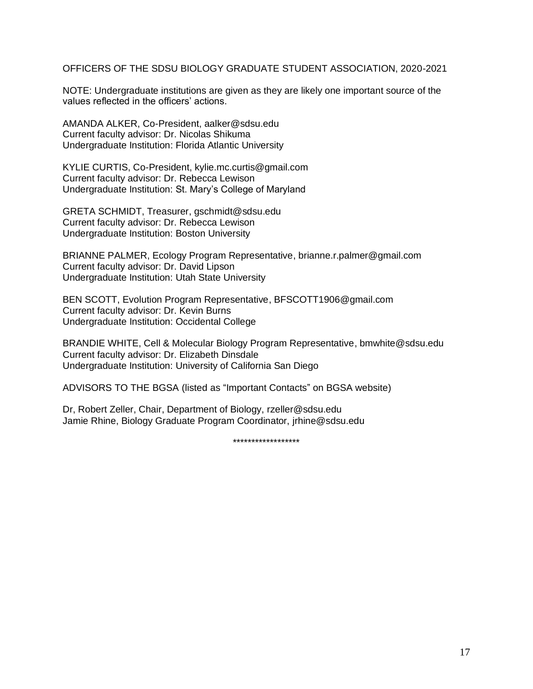OFFICERS OF THE SDSU BIOLOGY GRADUATE STUDENT ASSOCIATION, 2020-2021

NOTE: Undergraduate institutions are given as they are likely one important source of the values reflected in the officers' actions.

AMANDA ALKER, Co-President, aalker@sdsu.edu Current faculty advisor: Dr. Nicolas Shikuma Undergraduate Institution: Florida Atlantic University

KYLIE CURTIS, Co-President, kylie.mc.curtis@gmail.com Current faculty advisor: Dr. Rebecca Lewison Undergraduate Institution: St. Mary's College of Maryland

GRETA SCHMIDT, Treasurer, gschmidt@sdsu.edu Current faculty advisor: Dr. Rebecca Lewison Undergraduate Institution: Boston University

BRIANNE PALMER, Ecology Program Representative, brianne.r.palmer@gmail.com Current faculty advisor: Dr. David Lipson Undergraduate Institution: Utah State University

BEN SCOTT, Evolution Program Representative, BFSCOTT1906@gmail.com Current faculty advisor: Dr. Kevin Burns Undergraduate Institution: Occidental College

BRANDIE WHITE, Cell & Molecular Biology Program Representative, bmwhite@sdsu.edu Current faculty advisor: Dr. Elizabeth Dinsdale Undergraduate Institution: University of California San Diego

ADVISORS TO THE BGSA (listed as "Important Contacts" on BGSA website)

Dr, Robert Zeller, Chair, Department of Biology, rzeller@sdsu.edu Jamie Rhine, Biology Graduate Program Coordinator, jrhine@sdsu.edu

\*\*\*\*\*\*\*\*\*\*\*\*\*\*\*\*\*\*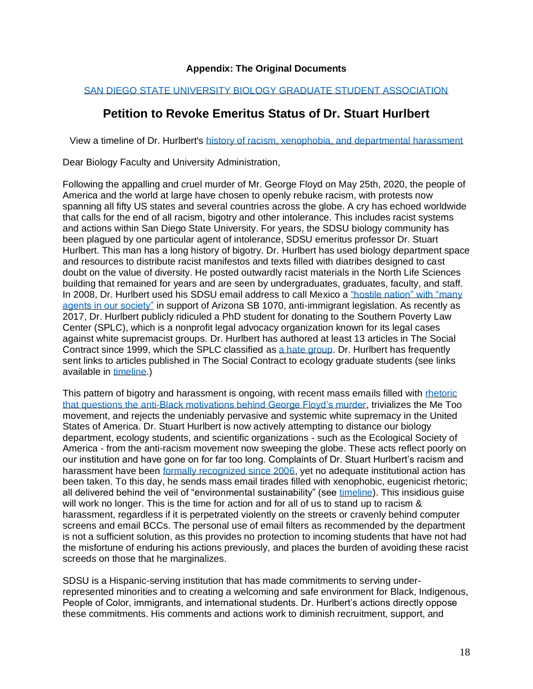## **Appendix: The Original Documents**

## [SAN DIEGO STATE UNIVERSITY BIOLOGY GRADUATE STUDENT ASSOCIATION](https://sdsubgsa.weebly.com/)

## **Petition to Revoke Emeritus Status of Dr. Stuart Hurlbert**

View a timeline of Dr. Hurlbert's [history of racism, xenophobia, and departmental harassment](https://docs.google.com/document/d/18x-FZ7Mbn1tol7h5zMrDIA70-xhcAZheQ8leV39X6so/edit?usp=sharing)

Dear Biology Faculty and University Administration,

Following the appalling and cruel murder of Mr. George Floyd on May 25th, 2020, the people of America and the world at large have chosen to openly rebuke racism, with protests now spanning all fifty US states and several countries across the globe. A cry has echoed worldwide that calls for the end of all racism, bigotry and other intolerance. This includes racist systems and actions within San Diego State University. For years, the SDSU biology community has been plagued by one particular agent of intolerance, SDSU emeritus professor Dr. Stuart Hurlbert. This man has a long history of bigotry. Dr. Hurlbert has used biology department space and resources to distribute racist manifestos and texts filled with diatribes designed to cast doubt on the value of diversity. He posted outwardly racist materials in the North Life Sciences building that remained for years and are seen by undergraduates, graduates, faculty, and staff. In 2008, Dr. Hurlbert used his SDSU email address to call Mexico a ["hostile nation" with "many](https://drive.google.com/file/d/1THVuZWxrZvounNED7yUDkEr5fanUqHdB/view?usp=sharing)  [agents in our society"](https://drive.google.com/file/d/1THVuZWxrZvounNED7yUDkEr5fanUqHdB/view?usp=sharing) in support of Arizona SB 1070, anti-immigrant legislation. As recently as 2017, Dr. Hurlbert publicly ridiculed a PhD student for donating to the Southern Poverty Law Center (SPLC), which is a nonprofit legal advocacy organization known for its legal cases against white supremacist groups. Dr. Hurlbert has authored at least 13 articles in The Social Contract since 1999, which the SPLC classified as [a hate group.](https://www.splcenter.org/fighting-hate/intelligence-report/2001/anti-immigration-groups) Dr. Hurlbert has frequently sent links to articles published in The Social Contract to ecology graduate students (see links available in [timeline.](https://docs.google.com/document/d/18x-FZ7Mbn1tol7h5zMrDIA70-xhcAZheQ8leV39X6so/edit?usp=sharing))

This pattern of bigotry and harassment is ongoing, with recent mass emails filled with rhetoric [that questions the anti-Black motivations behind George Floyd's murder,](https://drive.google.com/file/d/1Nm8oP1W2pwMap5djZvagL1-IRplnqTzF/view?usp=sharing) trivializes the Me Too movement, and rejects the undeniably pervasive and systemic white supremacy in the United States of America. Dr. Stuart Hurlbert is now actively attempting to distance our biology department, ecology students, and scientific organizations - such as the Ecological Society of America - from the anti-racism movement now sweeping the globe. These acts reflect poorly on our institution and have gone on for far too long. Complaints of Dr. Stuart Hurlbert's racism and harassment have been [formally recognized since 2006,](https://www.kpbs.org/news/2006/oct/15/sdsu-professor-strikes-back-over-anti-illegal/) yet no adequate institutional action has been taken. To this day, he sends mass email tirades filled with xenophobic, eugenicist rhetoric; all delivered behind the veil of "environmental sustainability" (see [timeline\)](https://docs.google.com/document/d/18x-FZ7Mbn1tol7h5zMrDIA70-xhcAZheQ8leV39X6so/edit?usp=sharing). This insidious guise will work no longer. This is the time for action and for all of us to stand up to racism & harassment, regardless if it is perpetrated violently on the streets or cravenly behind computer screens and email BCCs. The personal use of email filters as recommended by the department is not a sufficient solution, as this provides no protection to incoming students that have not had the misfortune of enduring his actions previously, and places the burden of avoiding these racist screeds on those that he marginalizes.

SDSU is a Hispanic-serving institution that has made commitments to serving underrepresented minorities and to creating a welcoming and safe environment for Black, Indigenous, People of Color, immigrants, and international students. Dr. Hurlbert's actions directly oppose these commitments. His comments and actions work to diminish recruitment, support, and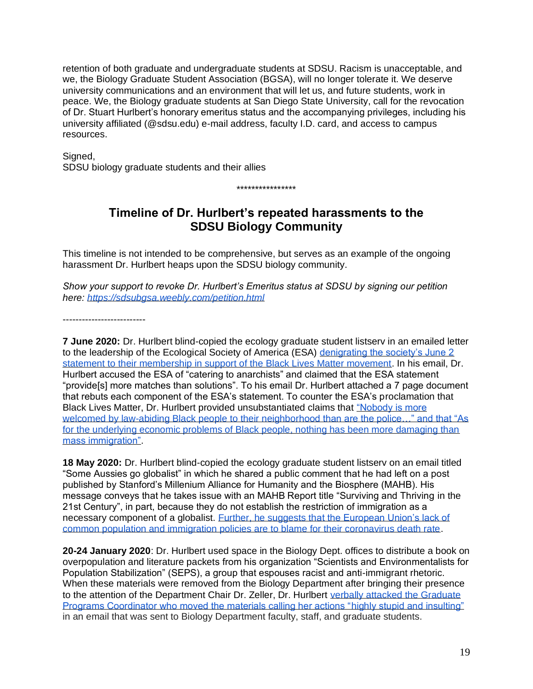retention of both graduate and undergraduate students at SDSU. Racism is unacceptable, and we, the Biology Graduate Student Association (BGSA), will no longer tolerate it. We deserve university communications and an environment that will let us, and future students, work in peace. We, the Biology graduate students at San Diego State University, call for the revocation of Dr. Stuart Hurlbert's honorary emeritus status and the accompanying privileges, including his university affiliated (@sdsu.edu) e-mail address, faculty I.D. card, and access to campus resources.

Signed,

SDSU biology graduate students and their allies

# **Timeline of Dr. Hurlbert's repeated harassments to the SDSU Biology Community**

\*\*\*\*\*\*\*\*\*\*\*\*\*\*\*\*

This timeline is not intended to be comprehensive, but serves as an example of the ongoing harassment Dr. Hurlbert heaps upon the SDSU biology community.

*Show your support to revoke Dr. Hurlbert's Emeritus status at SDSU by signing our petition here:<https://sdsubgsa.weebly.com/petition.html>*

--------------------------

**7 June 2020:** Dr. Hurlbert blind-copied the ecology graduate student listserv in an emailed letter to the leadership of the Ecological Society of America (ESA) [denigrating the society's June 2](https://drive.google.com/file/d/1Nm8oP1W2pwMap5djZvagL1-IRplnqTzF/view?usp=sharing)  [statement to their membership in support of the Black Lives Matter movement.](https://drive.google.com/file/d/1Nm8oP1W2pwMap5djZvagL1-IRplnqTzF/view?usp=sharing) In his email, Dr. Hurlbert accused the ESA of "catering to anarchists" and claimed that the ESA statement "provide[s] more matches than solutions". To his email Dr. Hurlbert attached a 7 page document that rebuts each component of the ESA's statement. To counter the ESA's proclamation that Black Lives Matter, Dr. Hurlbert provided unsubstantiated claims that ["Nobody is more](https://drive.google.com/file/d/1MhwndTJdC93jlTOK5YtuC3moTU-zBuH-/view?usp=sharing)  welcomed by law-abiding Black people to their neighborhood than are the police..." and that "As [for the underlying economic problems of Black people, nothing has been more damaging than](https://drive.google.com/file/d/1MhwndTJdC93jlTOK5YtuC3moTU-zBuH-/view?usp=sharing)  [mass immigration".](https://drive.google.com/file/d/1MhwndTJdC93jlTOK5YtuC3moTU-zBuH-/view?usp=sharing)

**18 May 2020:** Dr. Hurlbert blind-copied the ecology graduate student listserv on an email titled "Some Aussies go globalist" in which he shared a public comment that he had left on a post published by Stanford's Millenium Alliance for Humanity and the Biosphere (MAHB). His message conveys that he takes issue with an MAHB Report title "Surviving and Thriving in the 21st Century", in part, because they do not establish the restriction of immigration as a necessary component of a globalist. [Further, he suggests that the European Union's lack of](https://drive.google.com/file/d/1BmerlKGEgb2WEkjO1XXy2hMg_lnpsZFI/view?usp=sharing)  [common population and immigration policies are to blame for their coronavirus death rate.](https://drive.google.com/file/d/1BmerlKGEgb2WEkjO1XXy2hMg_lnpsZFI/view?usp=sharing)

**20-24 January 2020**: Dr. Hurlbert used space in the Biology Dept. offices to distribute a book on overpopulation and literature packets from his organization "Scientists and Environmentalists for Population Stabilization" (SEPS), a group that espouses racist and anti-immigrant rhetoric. When these materials were removed from the Biology Department after bringing their presence to the attention of the Department Chair Dr. Zeller, Dr. Hurlbert verbally attacked the Graduate [Programs Coordinator who moved the materials calling her actions "highly stupid and insulting"](https://drive.google.com/file/d/15Kn9fIJtWaRfzxICS5nCeyRy4Tpdh3aN/view?usp=sharing) in an email that was sent to Biology Department faculty, staff, and graduate students.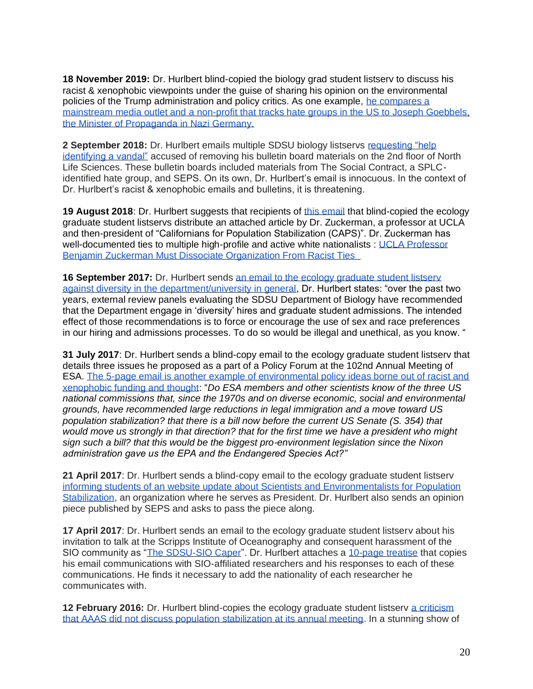**18 November 2019:** Dr. Hurlbert blind-copied the biology grad student listserv to discuss his racist & xenophobic viewpoints under the guise of sharing his opinion on the environmental policies of the Trump administration and policy critics. As one example, he compares a [mainstream media outlet and a non-profit that tracks hate groups in the US to Joseph Goebbels,](https://drive.google.com/file/d/1Z8M1a2itaf15ef_r1X-irhh1PlUEcV4q/view?usp=sharing)  [the Minister of Propaganda in Nazi Germany.](https://drive.google.com/file/d/1Z8M1a2itaf15ef_r1X-irhh1PlUEcV4q/view?usp=sharing)

**2 September 2018:** Dr. Hurlbert emails multiple SDSU biology listservs requesting "help [identifying a vandal"](https://drive.google.com/file/d/1wwb53ZAGaClqO71EgKcNG-dw27F_f6hN/view?usp=sharing) accused of removing his bulletin board materials on the 2nd floor of North Life Sciences. These bulletin boards included materials from The Social Contract, a SPLCidentified hate group, and SEPS. On its own, Dr. Hurlbert's email is innocuous. In the context of Dr. Hurlbert's racist & xenophobic emails and bulletins, it is threatening.

**19 August 2018**: Dr. Hurlbert suggests that recipients of [this email](https://drive.google.com/file/d/1P30Lm3CzYR9K3ymW_KuCWnzVHF7n1LOJ/view?usp=sharing) that blind-copied the ecology graduate student listservs distribute an attached article by Dr. Zuckerman, a professor at UCLA and then-president of "Californians for Population Stabilization (CAPS)". Dr. Zuckerman has well-documented ties to multiple high-profile and active white nationalists : UCLA Professor Benjamin Zuckerman Must Dissociate Organization From Racist Ties

**16 September 2017:** Dr. Hurlbert sends an email to the ecology graduate student listsery [against diversity in the department/university in general,](https://drive.google.com/file/d/1G5w8k13y7UZV-uaiwYmuALXQVqj9ZxpZ/view?usp=sharing) Dr. Hurlbert states: "over the past two years, external review panels evaluating the SDSU Department of Biology have recommended that the Department engage in 'diversity' hires and graduate student admissions. The intended effect of those recommendations is to force or encourage the use of sex and race preferences in our hiring and admissions processes. To do so would be illegal and unethical, as you know. "

**31 July 2017**: Dr. Hurlbert sends a blind-copy email to the ecology graduate student listserv that details three issues he proposed as a part of a Policy Forum at the 102nd Annual Meeting of ESA. [The 5-page email is another example of environmental policy ideas borne out of racist and](https://drive.google.com/file/d/1MMrzQzoBPcjQskRUPAwuoEsYnqcqB0Op/view?usp=sharing)  [xenophobic funding and thought:](https://drive.google.com/file/d/1MMrzQzoBPcjQskRUPAwuoEsYnqcqB0Op/view?usp=sharing) "*Do ESA members and other scientists know of the three US national commissions that, since the 1970s and on diverse economic, social and environmental grounds, have recommended large reductions in legal immigration and a move toward US population stabilization? that there is a bill now before the current US Senate (S. 354) that would move us strongly in that direction? that for the first time we have a president who might sign such a bill? that this would be the biggest pro-environment legislation since the Nixon administration gave us the EPA and the Endangered Species Act?"*

**21 April 2017**: Dr. Hurlbert sends a blind-copy email to the ecology graduate student listserv [informing students of an website update about Scientists and Environmentalists for Population](https://drive.google.com/file/d/1fR5ODa6-4JsCKCCHmDRqNMfYCLNhsLHk/view?usp=sharing)  [Stabilization,](https://drive.google.com/file/d/1fR5ODa6-4JsCKCCHmDRqNMfYCLNhsLHk/view?usp=sharing) an organization where he serves as President. Dr. Hurlbert also sends an opinion piece published by SEPS and asks to pass the piece along.

**17 April 2017**: Dr. Hurlbert sends an email to the ecology graduate student listserv about his invitation to talk at the Scripps Institute of Oceanography and consequent harassment of the SIO community as ["The SDSU-SIO Caper"](https://drive.google.com/file/d/15O0deOcV25XiMe_1MlQlz_KDPWZg5C25/view?usp=sharing). Dr. Hurlbert attaches a [10-page treatise](https://drive.google.com/file/d/1z_1wiD0b-kqUaoRUi_FM6SC6s8wVsZ8s/view?usp=sharing) that copies his email communications with SIO-affiliated researchers and his responses to each of these communications. He finds it necessary to add the nationality of each researcher he communicates with.

**12 February 2016:** Dr. Hurlbert blind-copies the ecology graduate student listsery a criticism [that AAAS did not discuss population stabilization at its annual meeting.](https://drive.google.com/file/d/1X1srh6GCcWGLYQv4ddXcWbeTSJQ8jaah/view?usp=sharing) In a stunning show of